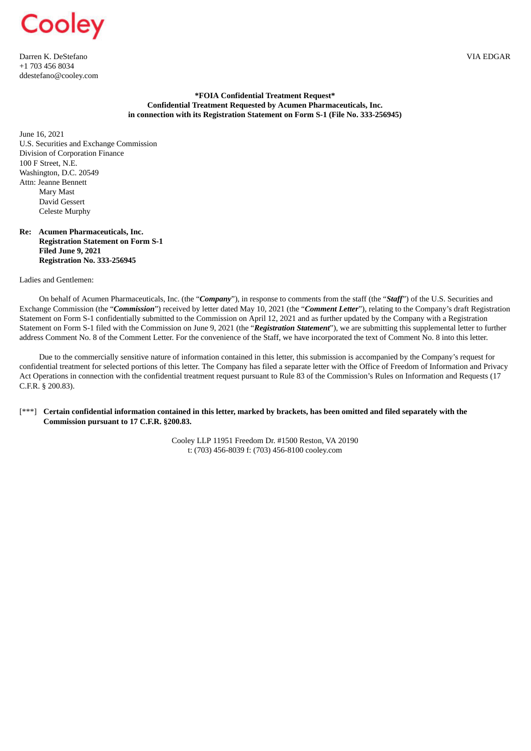

Darren K. DeStefano VIA EDGAR +1 703 456 8034 ddestefano@cooley.com

## **\*FOIA Confidential Treatment Request\* Confidential Treatment Requested by Acumen Pharmaceuticals, Inc. in connection with its Registration Statement on Form S-1 (File No. 333-256945)**

June 16, 2021 U.S. Securities and Exchange Commission Division of Corporation Finance 100 F Street, N.E. Washington, D.C. 20549 Attn: Jeanne Bennett Mary Mast David Gessert Celeste Murphy

## **Re: Acumen Pharmaceuticals, Inc. Registration Statement on Form S-1 Filed June 9, 2021 Registration No. 333-256945**

Ladies and Gentlemen:

On behalf of Acumen Pharmaceuticals, Inc. (the "*Company*"), in response to comments from the staff (the "*Staff*") of the U.S. Securities and Exchange Commission (the "*Commission*") received by letter dated May 10, 2021 (the "*Comment Letter*"), relating to the Company's draft Registration Statement on Form S-1 confidentially submitted to the Commission on April 12, 2021 and as further updated by the Company with a Registration Statement on Form S-1 filed with the Commission on June 9, 2021 (the "*Registration Statement*"), we are submitting this supplemental letter to further address Comment No. 8 of the Comment Letter. For the convenience of the Staff, we have incorporated the text of Comment No. 8 into this letter.

Due to the commercially sensitive nature of information contained in this letter, this submission is accompanied by the Company's request for confidential treatment for selected portions of this letter. The Company has filed a separate letter with the Office of Freedom of Information and Privacy Act Operations in connection with the confidential treatment request pursuant to Rule 83 of the Commission's Rules on Information and Requests (17 C.F.R. § 200.83).

## [\*\*\*] Certain confidential information contained in this letter, marked by brackets, has been omitted and filed separately with the **Commission pursuant to 17 C.F.R. §200.83.**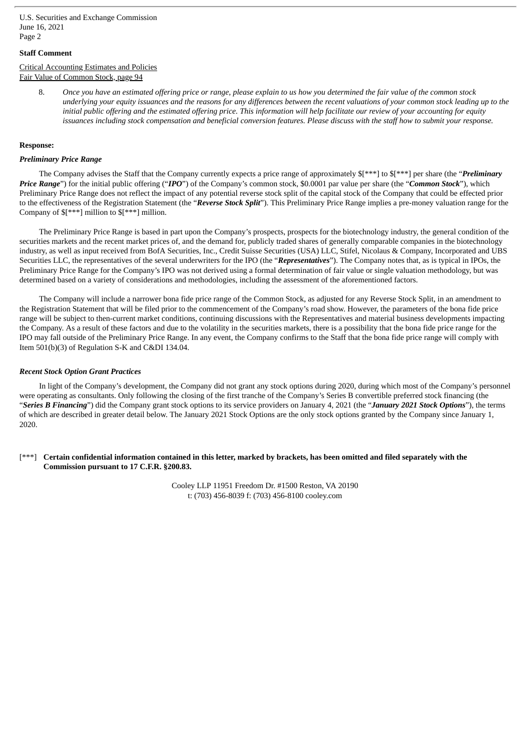# **Staff Comment**

# Critical Accounting Estimates and Policies Fair Value of Common Stock, page 94

8. Once you have an estimated offering price or range, please explain to us how you determined the fair value of the common stock underlying your equity issuances and the reasons for any differences between the recent valuations of your common stock leading up to the initial public offering and the estimated offering price. This information will help facilitate our review of your accounting for equity issuances including stock compensation and beneficial conversion features. Please discuss with the staff how to submit your response.

## **Response:**

## *Preliminary Price Range*

The Company advises the Staff that the Company currently expects a price range of approximately \$[\*\*\*] to \$[\*\*\*] per share (the "*Preliminary Price Range*") for the initial public offering ("*IPO*") of the Company's common stock, \$0.0001 par value per share (the "*Common Stock*"), which Preliminary Price Range does not reflect the impact of any potential reverse stock split of the capital stock of the Company that could be effected prior to the effectiveness of the Registration Statement (the "*Reverse Stock Split*"). This Preliminary Price Range implies a pre-money valuation range for the Company of \$[\*\*\*] million to \$[\*\*\*] million.

The Preliminary Price Range is based in part upon the Company's prospects, prospects for the biotechnology industry, the general condition of the securities markets and the recent market prices of, and the demand for, publicly traded shares of generally comparable companies in the biotechnology industry, as well as input received from BofA Securities, Inc., Credit Suisse Securities (USA) LLC, Stifel, Nicolaus & Company, Incorporated and UBS Securities LLC, the representatives of the several underwriters for the IPO (the "*Representatives*"). The Company notes that, as is typical in IPOs, the Preliminary Price Range for the Company's IPO was not derived using a formal determination of fair value or single valuation methodology, but was determined based on a variety of considerations and methodologies, including the assessment of the aforementioned factors.

The Company will include a narrower bona fide price range of the Common Stock, as adjusted for any Reverse Stock Split, in an amendment to the Registration Statement that will be filed prior to the commencement of the Company's road show. However, the parameters of the bona fide price range will be subject to then-current market conditions, continuing discussions with the Representatives and material business developments impacting the Company. As a result of these factors and due to the volatility in the securities markets, there is a possibility that the bona fide price range for the IPO may fall outside of the Preliminary Price Range. In any event, the Company confirms to the Staff that the bona fide price range will comply with Item 501(b)(3) of Regulation S-K and C&DI 134.04.

#### *Recent Stock Option Grant Practices*

In light of the Company's development, the Company did not grant any stock options during 2020, during which most of the Company's personnel were operating as consultants. Only following the closing of the first tranche of the Company's Series B convertible preferred stock financing (the "*Series B Financing*") did the Company grant stock options to its service providers on January 4, 2021 (the "*January 2021 Stock Options*"), the terms of which are described in greater detail below. The January 2021 Stock Options are the only stock options granted by the Company since January 1, 2020.

# [\*\*\*] Certain confidential information contained in this letter, marked by brackets, has been omitted and filed separately with the **Commission pursuant to 17 C.F.R. §200.83.**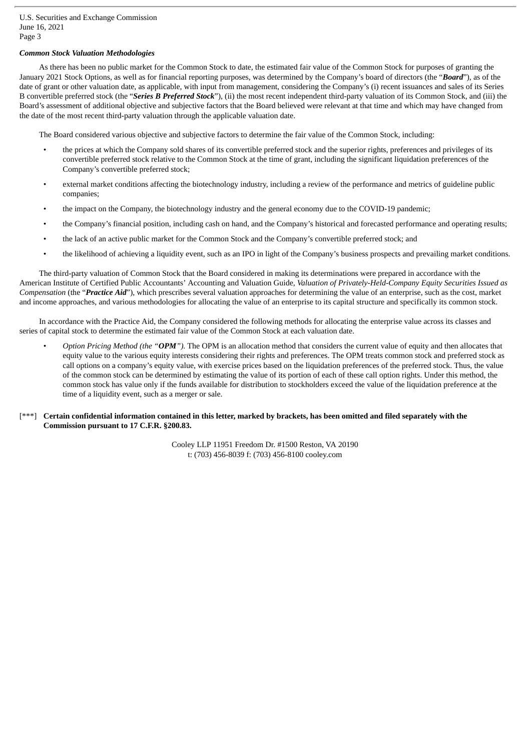# *Common Stock Valuation Methodologies*

As there has been no public market for the Common Stock to date, the estimated fair value of the Common Stock for purposes of granting the January 2021 Stock Options, as well as for financial reporting purposes, was determined by the Company's board of directors (the "*Board*"), as of the date of grant or other valuation date, as applicable, with input from management, considering the Company's (i) recent issuances and sales of its Series B convertible preferred stock (the "*Series B Preferred Stock*"), (ii) the most recent independent third-party valuation of its Common Stock, and (iii) the Board's assessment of additional objective and subjective factors that the Board believed were relevant at that time and which may have changed from the date of the most recent third-party valuation through the applicable valuation date.

The Board considered various objective and subjective factors to determine the fair value of the Common Stock, including:

- the prices at which the Company sold shares of its convertible preferred stock and the superior rights, preferences and privileges of its convertible preferred stock relative to the Common Stock at the time of grant, including the significant liquidation preferences of the Company's convertible preferred stock;
- external market conditions affecting the biotechnology industry, including a review of the performance and metrics of guideline public companies;
- the impact on the Company, the biotechnology industry and the general economy due to the COVID-19 pandemic;
- the Company's financial position, including cash on hand, and the Company's historical and forecasted performance and operating results;
- the lack of an active public market for the Common Stock and the Company's convertible preferred stock; and
- the likelihood of achieving a liquidity event, such as an IPO in light of the Company's business prospects and prevailing market conditions.

The third-party valuation of Common Stock that the Board considered in making its determinations were prepared in accordance with the American Institute of Certified Public Accountants' Accounting and Valuation Guide*, Valuation of Privately-Held-Company Equity Securities Issued as Compensation* (the "*Practice Aid*"), which prescribes several valuation approaches for determining the value of an enterprise, such as the cost, market and income approaches, and various methodologies for allocating the value of an enterprise to its capital structure and specifically its common stock.

In accordance with the Practice Aid, the Company considered the following methods for allocating the enterprise value across its classes and series of capital stock to determine the estimated fair value of the Common Stock at each valuation date.

• *Option Pricing Method (the "OPM").* The OPM is an allocation method that considers the current value of equity and then allocates that equity value to the various equity interests considering their rights and preferences. The OPM treats common stock and preferred stock as call options on a company's equity value, with exercise prices based on the liquidation preferences of the preferred stock. Thus, the value of the common stock can be determined by estimating the value of its portion of each of these call option rights. Under this method, the common stock has value only if the funds available for distribution to stockholders exceed the value of the liquidation preference at the time of a liquidity event, such as a merger or sale.

# [\*\*\*] Certain confidential information contained in this letter, marked by brackets, has been omitted and filed separately with the **Commission pursuant to 17 C.F.R. §200.83.**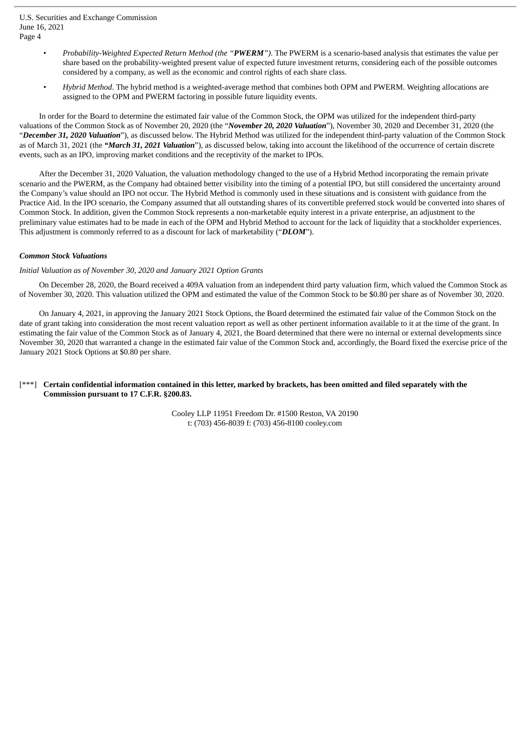- *Probability-Weighted Expected Return Method (the "PWERM").* The PWERM is a scenario-based analysis that estimates the value per share based on the probability-weighted present value of expected future investment returns, considering each of the possible outcomes considered by a company, as well as the economic and control rights of each share class.
- *Hybrid Method*. The hybrid method is a weighted-average method that combines both OPM and PWERM. Weighting allocations are assigned to the OPM and PWERM factoring in possible future liquidity events.

In order for the Board to determine the estimated fair value of the Common Stock, the OPM was utilized for the independent third-party valuations of the Common Stock as of November 20, 2020 (the "*November 20, 2020 Valuation*"), November 30, 2020 and December 31, 2020 (the "*December 31, 2020 Valuation*"), as discussed below. The Hybrid Method was utilized for the independent third-party valuation of the Common Stock as of March 31, 2021 (the *"March 31, 2021 Valuation*"), as discussed below, taking into account the likelihood of the occurrence of certain discrete events, such as an IPO, improving market conditions and the receptivity of the market to IPOs.

After the December 31, 2020 Valuation, the valuation methodology changed to the use of a Hybrid Method incorporating the remain private scenario and the PWERM, as the Company had obtained better visibility into the timing of a potential IPO, but still considered the uncertainty around the Company's value should an IPO not occur. The Hybrid Method is commonly used in these situations and is consistent with guidance from the Practice Aid. In the IPO scenario, the Company assumed that all outstanding shares of its convertible preferred stock would be converted into shares of Common Stock. In addition, given the Common Stock represents a non-marketable equity interest in a private enterprise, an adjustment to the preliminary value estimates had to be made in each of the OPM and Hybrid Method to account for the lack of liquidity that a stockholder experiences. This adjustment is commonly referred to as a discount for lack of marketability ("*DLOM*").

# *Common Stock Valuations*

# *Initial Valuation as of November 30, 2020 and January 2021 Option Grants*

On December 28, 2020, the Board received a 409A valuation from an independent third party valuation firm, which valued the Common Stock as of November 30, 2020. This valuation utilized the OPM and estimated the value of the Common Stock to be \$0.80 per share as of November 30, 2020.

On January 4, 2021, in approving the January 2021 Stock Options, the Board determined the estimated fair value of the Common Stock on the date of grant taking into consideration the most recent valuation report as well as other pertinent information available to it at the time of the grant. In estimating the fair value of the Common Stock as of January 4, 2021, the Board determined that there were no internal or external developments since November 30, 2020 that warranted a change in the estimated fair value of the Common Stock and, accordingly, the Board fixed the exercise price of the January 2021 Stock Options at \$0.80 per share.

# [\*\*\*] Certain confidential information contained in this letter, marked by brackets, has been omitted and filed separately with the **Commission pursuant to 17 C.F.R. §200.83.**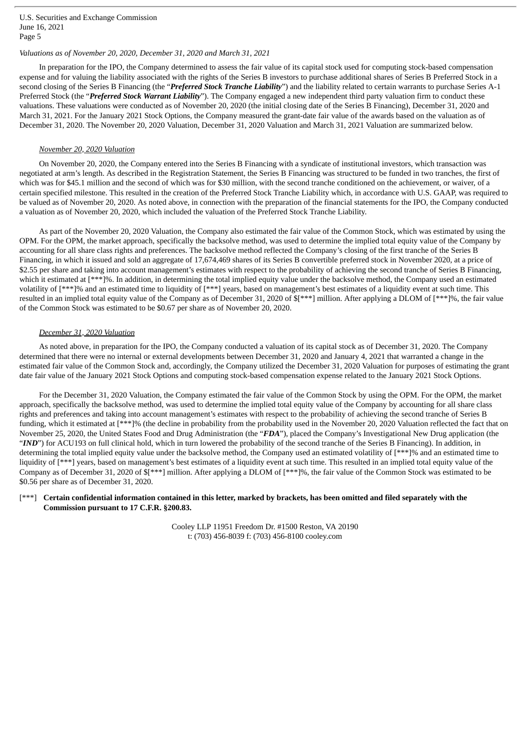# *Valuations as of November 20, 2020, December 31, 2020 and March 31, 2021*

In preparation for the IPO, the Company determined to assess the fair value of its capital stock used for computing stock-based compensation expense and for valuing the liability associated with the rights of the Series B investors to purchase additional shares of Series B Preferred Stock in a second closing of the Series B Financing (the "*Preferred Stock Tranche Liability*") and the liability related to certain warrants to purchase Series A-1 Preferred Stock (the "*Preferred Stock Warrant Liability*"). The Company engaged a new independent third party valuation firm to conduct these valuations. These valuations were conducted as of November 20, 2020 (the initial closing date of the Series B Financing), December 31, 2020 and March 31, 2021. For the January 2021 Stock Options, the Company measured the grant-date fair value of the awards based on the valuation as of December 31, 2020. The November 20, 2020 Valuation, December 31, 2020 Valuation and March 31, 2021 Valuation are summarized below.

#### *November 20, 2020 Valuation*

On November 20, 2020, the Company entered into the Series B Financing with a syndicate of institutional investors, which transaction was negotiated at arm's length. As described in the Registration Statement, the Series B Financing was structured to be funded in two tranches, the first of which was for \$45.1 million and the second of which was for \$30 million, with the second tranche conditioned on the achievement, or waiver, of a certain specified milestone. This resulted in the creation of the Preferred Stock Tranche Liability which, in accordance with U.S. GAAP, was required to be valued as of November 20, 2020. As noted above, in connection with the preparation of the financial statements for the IPO, the Company conducted a valuation as of November 20, 2020, which included the valuation of the Preferred Stock Tranche Liability.

As part of the November 20, 2020 Valuation, the Company also estimated the fair value of the Common Stock, which was estimated by using the OPM. For the OPM, the market approach, specifically the backsolve method, was used to determine the implied total equity value of the Company by accounting for all share class rights and preferences. The backsolve method reflected the Company's closing of the first tranche of the Series B Financing, in which it issued and sold an aggregate of 17,674,469 shares of its Series B convertible preferred stock in November 2020, at a price of \$2.55 per share and taking into account management's estimates with respect to the probability of achieving the second tranche of Series B Financing, which it estimated at [\*\*\*]%. In addition, in determining the total implied equity value under the backsolve method, the Company used an estimated volatility of [\*\*\*]% and an estimated time to liquidity of [\*\*\*] years, based on management's best estimates of a liquidity event at such time. This resulted in an implied total equity value of the Company as of December 31, 2020 of \$[\*\*\*] million. After applying a DLOM of [\*\*\*]%, the fair value of the Common Stock was estimated to be \$0.67 per share as of November 20, 2020.

#### *December 31, 2020 Valuation*

As noted above, in preparation for the IPO, the Company conducted a valuation of its capital stock as of December 31, 2020. The Company determined that there were no internal or external developments between December 31, 2020 and January 4, 2021 that warranted a change in the estimated fair value of the Common Stock and, accordingly, the Company utilized the December 31, 2020 Valuation for purposes of estimating the grant date fair value of the January 2021 Stock Options and computing stock-based compensation expense related to the January 2021 Stock Options.

For the December 31, 2020 Valuation, the Company estimated the fair value of the Common Stock by using the OPM. For the OPM, the market approach, specifically the backsolve method, was used to determine the implied total equity value of the Company by accounting for all share class rights and preferences and taking into account management's estimates with respect to the probability of achieving the second tranche of Series B funding, which it estimated at [\*\*\*]% (the decline in probability from the probability used in the November 20, 2020 Valuation reflected the fact that on November 25, 2020, the United States Food and Drug Administration (the "*FDA*"), placed the Company's Investigational New Drug application (the "IND") for ACU193 on full clinical hold, which in turn lowered the probability of the second tranche of the Series B Financing). In addition, in determining the total implied equity value under the backsolve method, the Company used an estimated volatility of [\*\*\*]% and an estimated time to liquidity of [\*\*\*] years, based on management's best estimates of a liquidity event at such time. This resulted in an implied total equity value of the Company as of December 31, 2020 of \$[\*\*\*] million. After applying a DLOM of [\*\*\*]%, the fair value of the Common Stock was estimated to be \$0.56 per share as of December 31, 2020.

## [\*\*\*] Certain confidential information contained in this letter, marked by brackets, has been omitted and filed separately with the **Commission pursuant to 17 C.F.R. §200.83.**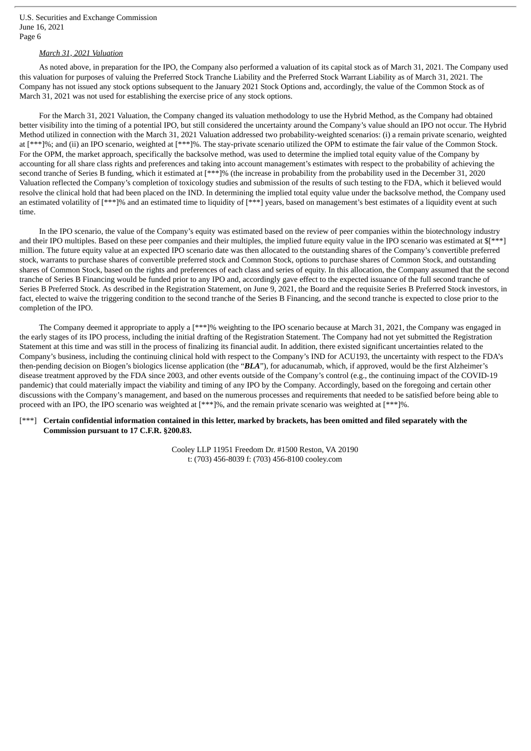# *March 31, 2021 Valuation*

As noted above, in preparation for the IPO, the Company also performed a valuation of its capital stock as of March 31, 2021. The Company used this valuation for purposes of valuing the Preferred Stock Tranche Liability and the Preferred Stock Warrant Liability as of March 31, 2021. The Company has not issued any stock options subsequent to the January 2021 Stock Options and, accordingly, the value of the Common Stock as of March 31, 2021 was not used for establishing the exercise price of any stock options.

For the March 31, 2021 Valuation, the Company changed its valuation methodology to use the Hybrid Method, as the Company had obtained better visibility into the timing of a potential IPO, but still considered the uncertainty around the Company's value should an IPO not occur. The Hybrid Method utilized in connection with the March 31, 2021 Valuation addressed two probability-weighted scenarios: (i) a remain private scenario, weighted at [\*\*\*]%; and (ii) an IPO scenario, weighted at [\*\*\*]%. The stay-private scenario utilized the OPM to estimate the fair value of the Common Stock. For the OPM, the market approach, specifically the backsolve method, was used to determine the implied total equity value of the Company by accounting for all share class rights and preferences and taking into account management's estimates with respect to the probability of achieving the second tranche of Series B funding, which it estimated at [\*\*\*]% (the increase in probability from the probability used in the December 31, 2020 Valuation reflected the Company's completion of toxicology studies and submission of the results of such testing to the FDA, which it believed would resolve the clinical hold that had been placed on the IND. In determining the implied total equity value under the backsolve method, the Company used an estimated volatility of [\*\*\*]% and an estimated time to liquidity of [\*\*\*] years, based on management's best estimates of a liquidity event at such time.

In the IPO scenario, the value of the Company's equity was estimated based on the review of peer companies within the biotechnology industry and their IPO multiples. Based on these peer companies and their multiples, the implied future equity value in the IPO scenario was estimated at \$[\*\*\*] million. The future equity value at an expected IPO scenario date was then allocated to the outstanding shares of the Company's convertible preferred stock, warrants to purchase shares of convertible preferred stock and Common Stock, options to purchase shares of Common Stock, and outstanding shares of Common Stock, based on the rights and preferences of each class and series of equity. In this allocation, the Company assumed that the second tranche of Series B Financing would be funded prior to any IPO and, accordingly gave effect to the expected issuance of the full second tranche of Series B Preferred Stock. As described in the Registration Statement, on June 9, 2021, the Board and the requisite Series B Preferred Stock investors, in fact, elected to waive the triggering condition to the second tranche of the Series B Financing, and the second tranche is expected to close prior to the completion of the IPO.

The Company deemed it appropriate to apply a [\*\*\*]% weighting to the IPO scenario because at March 31, 2021, the Company was engaged in the early stages of its IPO process, including the initial drafting of the Registration Statement. The Company had not yet submitted the Registration Statement at this time and was still in the process of finalizing its financial audit. In addition, there existed significant uncertainties related to the Company's business, including the continuing clinical hold with respect to the Company's IND for ACU193, the uncertainty with respect to the FDA's then-pending decision on Biogen's biologics license application (the "*BLA*"), for aducanumab, which, if approved, would be the first Alzheimer's disease treatment approved by the FDA since 2003, and other events outside of the Company's control (e.g., the continuing impact of the COVID-19 pandemic) that could materially impact the viability and timing of any IPO by the Company. Accordingly, based on the foregoing and certain other discussions with the Company's management, and based on the numerous processes and requirements that needed to be satisfied before being able to proceed with an IPO, the IPO scenario was weighted at [\*\*\*]%, and the remain private scenario was weighted at [\*\*\*]%.

# [\*\*\*] Certain confidential information contained in this letter, marked by brackets, has been omitted and filed separately with the **Commission pursuant to 17 C.F.R. §200.83.**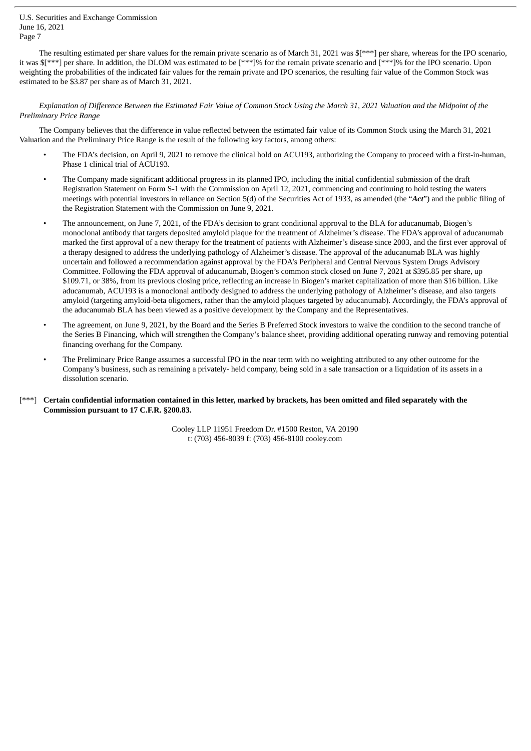The resulting estimated per share values for the remain private scenario as of March 31, 2021 was \$[\*\*\*] per share, whereas for the IPO scenario, it was \$[\*\*\*] per share. In addition, the DLOM was estimated to be [\*\*\*]% for the remain private scenario and [\*\*\*]% for the IPO scenario. Upon weighting the probabilities of the indicated fair values for the remain private and IPO scenarios, the resulting fair value of the Common Stock was estimated to be \$3.87 per share as of March 31, 2021.

Explanation of Difference Between the Estimated Fair Value of Common Stock Usina the March 31, 2021 Valuation and the Midpoint of the *Preliminary Price Range*

The Company believes that the difference in value reflected between the estimated fair value of its Common Stock using the March 31, 2021 Valuation and the Preliminary Price Range is the result of the following key factors, among others:

- The FDA's decision, on April 9, 2021 to remove the clinical hold on ACU193, authorizing the Company to proceed with a first-in-human, Phase 1 clinical trial of ACU193.
- The Company made significant additional progress in its planned IPO, including the initial confidential submission of the draft Registration Statement on Form S-1 with the Commission on April 12, 2021, commencing and continuing to hold testing the waters meetings with potential investors in reliance on Section 5(d) of the Securities Act of 1933, as amended (the "*Act*") and the public filing of the Registration Statement with the Commission on June 9, 2021.
- The announcement, on June 7, 2021, of the FDA's decision to grant conditional approval to the BLA for aducanumab, Biogen's monoclonal antibody that targets deposited amyloid plaque for the treatment of Alzheimer's disease. The FDA's approval of aducanumab marked the first approval of a new therapy for the treatment of patients with Alzheimer's disease since 2003, and the first ever approval of a therapy designed to address the underlying pathology of Alzheimer's disease. The approval of the aducanumab BLA was highly uncertain and followed a recommendation against approval by the FDA's Peripheral and Central Nervous System Drugs Advisory Committee. Following the FDA approval of aducanumab, Biogen's common stock closed on June 7, 2021 at \$395.85 per share, up \$109.71, or 38%, from its previous closing price, reflecting an increase in Biogen's market capitalization of more than \$16 billion. Like aducanumab, ACU193 is a monoclonal antibody designed to address the underlying pathology of Alzheimer's disease, and also targets amyloid (targeting amyloid-beta oligomers, rather than the amyloid plaques targeted by aducanumab). Accordingly, the FDA's approval of the aducanumab BLA has been viewed as a positive development by the Company and the Representatives.
- The agreement, on June 9, 2021, by the Board and the Series B Preferred Stock investors to waive the condition to the second tranche of the Series B Financing, which will strengthen the Company's balance sheet, providing additional operating runway and removing potential financing overhang for the Company.
- The Preliminary Price Range assumes a successful IPO in the near term with no weighting attributed to any other outcome for the Company's business, such as remaining a privately- held company, being sold in a sale transaction or a liquidation of its assets in a dissolution scenario.
- Certain confidential information contained in this letter, marked by brackets, has been omitted and filed separately with the **Commission pursuant to 17 C.F.R. §200.83.**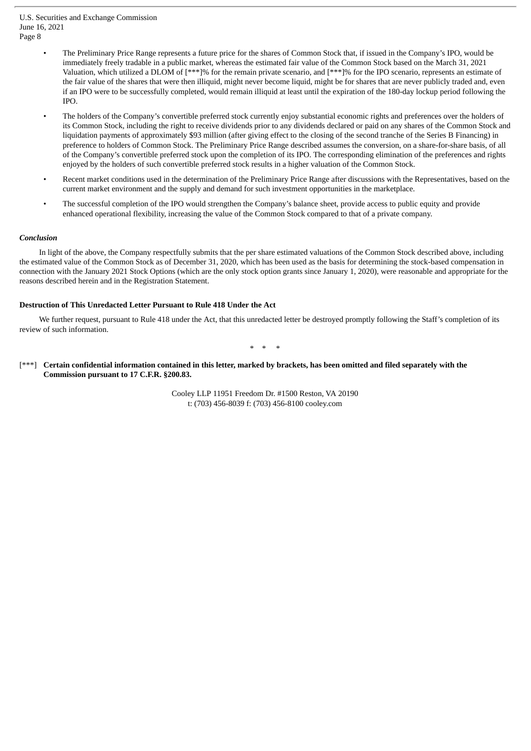- The Preliminary Price Range represents a future price for the shares of Common Stock that, if issued in the Company's IPO, would be immediately freely tradable in a public market, whereas the estimated fair value of the Common Stock based on the March 31, 2021 Valuation, which utilized a DLOM of [\*\*\*]% for the remain private scenario, and [\*\*\*]% for the IPO scenario, represents an estimate of the fair value of the shares that were then illiquid, might never become liquid, might be for shares that are never publicly traded and, even if an IPO were to be successfully completed, would remain illiquid at least until the expiration of the 180-day lockup period following the IPO.
- The holders of the Company's convertible preferred stock currently enjoy substantial economic rights and preferences over the holders of its Common Stock, including the right to receive dividends prior to any dividends declared or paid on any shares of the Common Stock and liquidation payments of approximately \$93 million (after giving effect to the closing of the second tranche of the Series B Financing) in preference to holders of Common Stock. The Preliminary Price Range described assumes the conversion, on a share-for-share basis, of all of the Company's convertible preferred stock upon the completion of its IPO. The corresponding elimination of the preferences and rights enjoyed by the holders of such convertible preferred stock results in a higher valuation of the Common Stock.
- Recent market conditions used in the determination of the Preliminary Price Range after discussions with the Representatives, based on the current market environment and the supply and demand for such investment opportunities in the marketplace.
- The successful completion of the IPO would strengthen the Company's balance sheet, provide access to public equity and provide enhanced operational flexibility, increasing the value of the Common Stock compared to that of a private company.

#### *Conclusion*

In light of the above, the Company respectfully submits that the per share estimated valuations of the Common Stock described above, including the estimated value of the Common Stock as of December 31, 2020, which has been used as the basis for determining the stock-based compensation in connection with the January 2021 Stock Options (which are the only stock option grants since January 1, 2020), were reasonable and appropriate for the reasons described herein and in the Registration Statement.

#### **Destruction of This Unredacted Letter Pursuant to Rule 418 Under the Act**

We further request, pursuant to Rule 418 under the Act, that this unredacted letter be destroyed promptly following the Staff's completion of its review of such information.

\* \* \*

## [\*\*\*] Certain confidential information contained in this letter, marked by brackets, has been omitted and filed separately with the **Commission pursuant to 17 C.F.R. §200.83.**